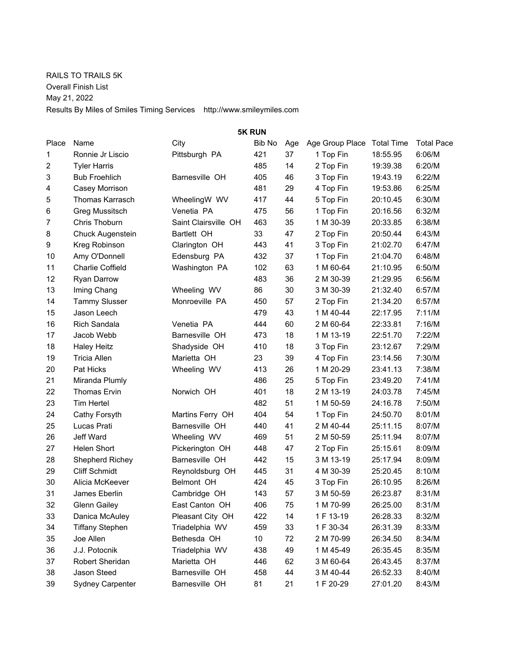RAILS TO TRAILS 5K Overall Finish List May 21, 2022 Results By Miles of Smiles Timing Services http://www.smileymiles.com

| <b>5K RUN</b> |                         |                      |        |     |                 |                   |                   |  |  |  |
|---------------|-------------------------|----------------------|--------|-----|-----------------|-------------------|-------------------|--|--|--|
| Place         | Name                    | City                 | Bib No | Age | Age Group Place | <b>Total Time</b> | <b>Total Pace</b> |  |  |  |
| 1             | Ronnie Jr Liscio        | Pittsburgh PA        | 421    | 37  | 1 Top Fin       | 18:55.95          | 6:06/M            |  |  |  |
| 2             | <b>Tyler Harris</b>     |                      | 485    | 14  | 2 Top Fin       | 19:39.38          | 6:20/M            |  |  |  |
| 3             | <b>Bub Froehlich</b>    | Barnesville OH       | 405    | 46  | 3 Top Fin       | 19:43.19          | 6:22/M            |  |  |  |
| 4             | Casey Morrison          |                      | 481    | 29  | 4 Top Fin       | 19:53.86          | 6:25/M            |  |  |  |
| 5             | <b>Thomas Karrasch</b>  | WheelingW WV         | 417    | 44  | 5 Top Fin       | 20:10.45          | 6:30/M            |  |  |  |
| 6             | <b>Greg Mussitsch</b>   | Venetia PA           | 475    | 56  | 1 Top Fin       | 20:16.56          | 6:32/M            |  |  |  |
| 7             | Chris Thoburn           | Saint Clairsville OH | 463    | 35  | 1 M 30-39       | 20:33.85          | 6:38/M            |  |  |  |
| 8             | Chuck Augenstein        | Bartlett OH          | 33     | 47  | 2 Top Fin       | 20:50.44          | 6:43/M            |  |  |  |
| 9             | Kreg Robinson           | Clarington OH        | 443    | 41  | 3 Top Fin       | 21:02.70          | 6:47/M            |  |  |  |
| 10            | Amy O'Donnell           | Edensburg PA         | 432    | 37  | 1 Top Fin       | 21:04.70          | 6:48/M            |  |  |  |
| 11            | <b>Charlie Coffield</b> | Washington PA        | 102    | 63  | 1 M 60-64       | 21:10.95          | 6:50/M            |  |  |  |
| 12            | Ryan Darrow             |                      | 483    | 36  | 2 M 30-39       | 21:29.95          | 6:56/M            |  |  |  |
| 13            | Iming Chang             | Wheeling WV          | 86     | 30  | 3 M 30-39       | 21:32.40          | 6:57/M            |  |  |  |
| 14            | <b>Tammy Slusser</b>    | Monroeville PA       | 450    | 57  | 2 Top Fin       | 21:34.20          | 6:57/M            |  |  |  |
| 15            | Jason Leech             |                      | 479    | 43  | 1 M 40-44       | 22:17.95          | 7:11/M            |  |  |  |
| 16            | <b>Rich Sandala</b>     | Venetia PA           | 444    | 60  | 2 M 60-64       | 22:33.81          | 7:16/M            |  |  |  |
| 17            | Jacob Webb              | Barnesville OH       | 473    | 18  | 1 M 13-19       | 22:51.70          | 7:22/M            |  |  |  |
| 18            | <b>Haley Heitz</b>      | Shadyside OH         | 410    | 18  | 3 Top Fin       | 23:12.67          | 7:29/M            |  |  |  |
| 19            | <b>Tricia Allen</b>     | Marietta OH          | 23     | 39  | 4 Top Fin       | 23:14.56          | 7:30/M            |  |  |  |
| 20            | Pat Hicks               | Wheeling WV          | 413    | 26  | 1 M 20-29       | 23:41.13          | 7:38/M            |  |  |  |
| 21            | Miranda Plumly          |                      | 486    | 25  | 5 Top Fin       | 23:49.20          | 7:41/M            |  |  |  |
| 22            | <b>Thomas Ervin</b>     | Norwich OH           | 401    | 18  | 2 M 13-19       | 24:03.78          | 7:45/M            |  |  |  |
| 23            | <b>Tim Hertel</b>       |                      | 482    | 51  | 1 M 50-59       | 24:16.78          | 7:50/M            |  |  |  |
| 24            | Cathy Forsyth           | Martins Ferry OH     | 404    | 54  | 1 Top Fin       | 24:50.70          | 8:01/M            |  |  |  |
| 25            | Lucas Prati             | Barnesville OH       | 440    | 41  | 2 M 40-44       | 25:11.15          | 8:07/M            |  |  |  |
| 26            | Jeff Ward               | Wheeling WV          | 469    | 51  | 2 M 50-59       | 25:11.94          | 8:07/M            |  |  |  |
| 27            | <b>Helen Short</b>      | Pickerington OH      | 448    | 47  | 2 Top Fin       | 25:15.61          | 8:09/M            |  |  |  |
| 28            | Shepherd Richey         | Barnesville OH       | 442    | 15  | 3 M 13-19       | 25:17.94          | 8:09/M            |  |  |  |
| 29            | <b>Cliff Schmidt</b>    | Reynoldsburg OH      | 445    | 31  | 4 M 30-39       | 25:20.45          | 8:10/M            |  |  |  |
| 30            | Alicia McKeever         | <b>Belmont OH</b>    | 424    | 45  | 3 Top Fin       | 26:10.95          | 8:26/M            |  |  |  |
| 31            | James Eberlin           | Cambridge OH         | 143    | 57  | 3 M 50-59       | 26:23.87          | 8:31/M            |  |  |  |
| 32            | <b>Glenn Gailey</b>     | East Canton OH       | 406    | 75  | 1 M 70-99       | 26:25.00          | 8:31/M            |  |  |  |
| 33            | Danica McAuley          | Pleasant City OH     | 422    | 14  | 1 F 13-19       | 26:28.33          | 8:32/M            |  |  |  |
| 34            | <b>Tiffany Stephen</b>  | Triadelphia WV       | 459    | 33  | 1 F 30-34       | 26:31.39          | 8:33/M            |  |  |  |
| 35            | Joe Allen               | Bethesda OH          | 10     | 72  | 2 M 70-99       | 26:34.50          | 8:34/M            |  |  |  |
| 36            | J.J. Potocnik           | Triadelphia WV       | 438    | 49  | 1 M 45-49       | 26:35.45          | 8:35/M            |  |  |  |
| 37            | Robert Sheridan         | Marietta OH          | 446    | 62  | 3 M 60-64       | 26:43.45          | 8:37/M            |  |  |  |
| 38            | Jason Steed             | Barnesville OH       | 458    | 44  | 3 M 40-44       | 26:52.33          | 8:40/M            |  |  |  |
| 39            | Sydney Carpenter        | Barnesville OH       | 81     | 21  | 1 F 20-29       | 27:01.20          | 8:43/M            |  |  |  |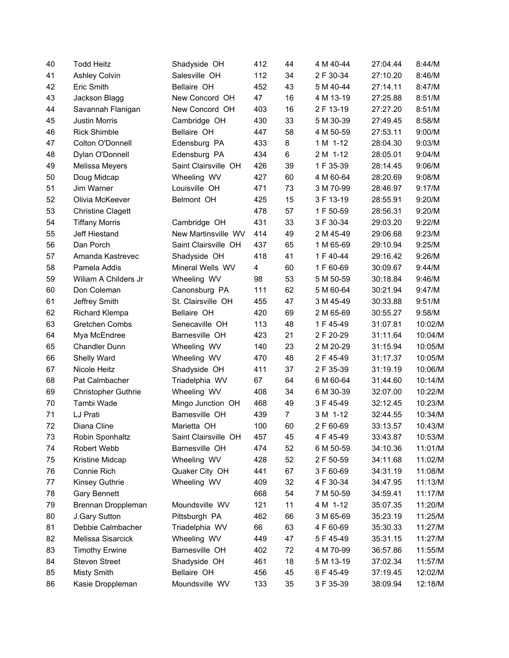| 40 | <b>Todd Heitz</b>          | Shadyside OH         | 412 | 44             | 4 M 40-44 | 27:04.44 | 8:44/M  |
|----|----------------------------|----------------------|-----|----------------|-----------|----------|---------|
| 41 | <b>Ashley Colvin</b>       | Salesville OH        | 112 | 34             | 2 F 30-34 | 27:10.20 | 8:46/M  |
| 42 | Eric Smith                 | Bellaire OH          | 452 | 43             | 5 M 40-44 | 27:14.11 | 8:47/M  |
| 43 | Jackson Blagg              | New Concord OH       | 47  | 16             | 4 M 13-19 | 27:25.88 | 8:51/M  |
| 44 | Savannah Flanigan          | New Concord OH       | 403 | 16             | 2 F 13-19 | 27:27.20 | 8:51/M  |
| 45 | <b>Justin Morris</b>       | Cambridge OH         | 430 | 33             | 5 M 30-39 | 27:49.45 | 8:58/M  |
| 46 | <b>Rick Shimble</b>        | Bellaire OH          | 447 | 58             | 4 M 50-59 | 27:53.11 | 9:00/M  |
| 47 | Colton O'Donnell           | Edensburg PA         | 433 | 8              | 1 M 1-12  | 28:04.30 | 9:03/M  |
| 48 | Dylan O'Donnell            | Edensburg PA         | 434 | 6              | 2 M 1-12  | 28:05.01 | 9:04/M  |
| 49 | Melissa Meyers             | Saint Clairsville OH | 426 | 39             | 1 F 35-39 | 28:14.45 | 9:06/M  |
| 50 | Doug Midcap                | Wheeling WV          | 427 | 60             | 4 M 60-64 | 28:20.69 | 9:08/M  |
| 51 | Jim Warner                 | Louisville OH        | 471 | 73             | 3 M 70-99 | 28:46.97 | 9:17/M  |
| 52 | Olivia McKeever            | Belmont OH           | 425 | 15             | 3 F 13-19 | 28:55.91 | 9:20/M  |
| 53 | <b>Christine Clagett</b>   |                      | 478 | 57             | 1 F 50-59 | 28:56.31 | 9:20/M  |
| 54 | <b>Tiffany Morris</b>      | Cambridge OH         | 431 | 33             | 3 F 30-34 | 29:03.20 | 9:22/M  |
| 55 | Jeff Hiestand              | New Martinsville WV  | 414 | 49             | 2 M 45-49 | 29:06.68 | 9:23/M  |
| 56 | Dan Porch                  | Saint Clairsville OH | 437 | 65             | 1 M 65-69 | 29:10.94 | 9:25/M  |
| 57 | Amanda Kastrevec           | Shadyside OH         | 418 | 41             | 1 F 40-44 | 29:16.42 | 9:26/M  |
| 58 | Pamela Addis               | Mineral Wells WV     | 4   | 60             | 1 F 60-69 | 30:09.67 | 9:44/M  |
| 59 | Wiliam A Childers Jr       | Wheeling WV          | 98  | 53             | 5 M 50-59 | 30:18.84 | 9:46/M  |
| 60 | Don Coleman                | Canonsburg PA        | 111 | 62             | 5 M 60-64 | 30:21.94 | 9:47/M  |
| 61 | Jeffrey Smith              | St. Clairsville OH   | 455 | 47             | 3 M 45-49 | 30:33.88 | 9:51/M  |
| 62 | <b>Richard Klempa</b>      | Bellaire OH          | 420 | 69             | 2 M 65-69 | 30:55.27 | 9:58/M  |
| 63 | Gretchen Combs             | Senecaville OH       | 113 | 48             | 1 F 45-49 | 31:07.81 | 10:02/M |
| 64 | Mya McEndree               | Barnesville OH       | 423 | 21             | 2 F 20-29 | 31:11.64 | 10:04/M |
| 65 | <b>Chandler Dunn</b>       | Wheeling WV          | 140 | 23             | 2 M 20-29 | 31:15.94 | 10:05/M |
| 66 | Shelly Ward                | Wheeling WV          | 470 | 48             | 2 F 45-49 | 31:17.37 | 10:05/M |
| 67 | Nicole Heitz               | Shadyside OH         | 411 | 37             | 2 F 35-39 | 31:19.19 | 10:06/M |
| 68 | Pat Calmbacher             | Triadelphia WV       | 67  | 64             | 6 M 60-64 | 31:44.60 | 10:14/M |
| 69 | <b>Christopher Guthrie</b> | Wheeling WV          | 408 | 34             | 6 M 30-39 | 32:07.00 | 10:22/M |
| 70 | Tambi Wade                 | Mingo Junction OH    | 468 | 49             | 3 F 45-49 | 32:12.45 | 10:23/M |
| 71 | LJ Prati                   | Barnesville OH       | 439 | $\overline{7}$ | 3 M 1-12  | 32:44.55 | 10:34/M |
| 72 | Diana Cline                | Marietta OH          | 100 | 60             | 2 F 60-69 | 33:13.57 | 10:43/M |
| 73 | Robin Sponhaltz            | Saint Clairsville OH | 457 | 45             | 4 F 45-49 | 33:43.87 | 10:53/M |
| 74 | Robert Webb                | Barnesville OH       | 474 | 52             | 6 M 50-59 | 34:10.36 | 11:01/M |
| 75 | Kristine Midcap            | Wheeling WV          | 428 | 52             | 2 F 50-59 | 34:11.68 | 11:02/M |
| 76 | Connie Rich                | Quaker City OH       | 441 | 67             | 3 F 60-69 | 34:31.19 | 11:08/M |
| 77 | Kinsey Guthrie             | Wheeling WV          | 409 | 32             | 4 F 30-34 | 34:47.95 | 11:13/M |
| 78 | Gary Bennett               |                      | 668 | 54             | 7 M 50-59 | 34:59.41 | 11:17/M |
| 79 | Brennan Droppleman         | Moundsville WV       | 121 | 11             | 4 M 1-12  | 35:07.35 | 11:20/M |
| 80 | J.Gary Sutton              | Pittsburgh PA        | 462 | 66             | 3 M 65-69 | 35:23.19 | 11:25/M |
| 81 | Debbie Calmbacher          | Triadelphia WV       | 66  | 63             | 4 F 60-69 | 35:30.33 | 11:27/M |
| 82 | Melissa Sisarcick          | Wheeling WV          | 449 | 47             | 5 F 45-49 | 35:31.15 | 11:27/M |
| 83 | <b>Timothy Erwine</b>      | Barnesville OH       | 402 | 72             | 4 M 70-99 | 36:57.86 | 11:55/M |
| 84 | <b>Steven Street</b>       | Shadyside OH         | 461 | 18             | 5 M 13-19 | 37:02.34 | 11:57/M |
| 85 | <b>Misty Smith</b>         | Bellaire OH          | 456 | 45             | 6 F 45-49 | 37:19.45 | 12:02/M |
| 86 | Kasie Droppleman           | Moundsville WV       | 133 | 35             | 3 F 35-39 | 38:09.94 | 12:18/M |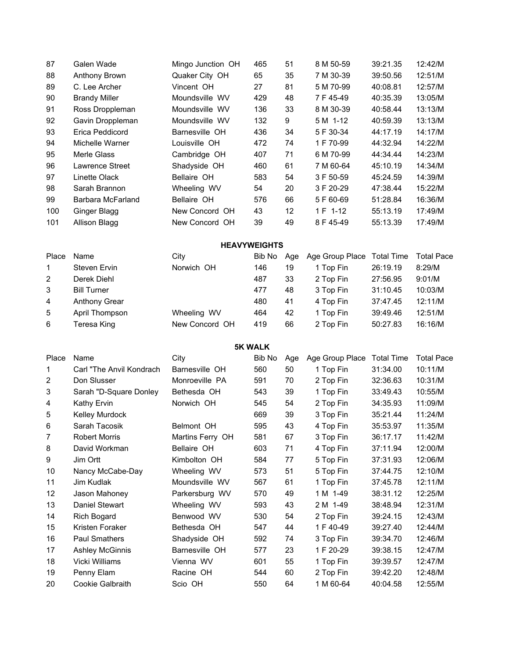| 87  | Galen Wade           | Mingo Junction OH | 465 | 51 | 8 M 50-59 | 39:21.35 | 12:42/M |
|-----|----------------------|-------------------|-----|----|-----------|----------|---------|
| 88  | Anthony Brown        | Quaker City OH    | 65  | 35 | 7 M 30-39 | 39:50.56 | 12:51/M |
| 89  | C. Lee Archer        | Vincent OH        | 27  | 81 | 5 M 70-99 | 40:08.81 | 12:57/M |
| 90  | <b>Brandy Miller</b> | Moundsville WV    | 429 | 48 | 7 F 45-49 | 40:35.39 | 13:05/M |
| 91  | Ross Droppleman      | Moundsville WV    | 136 | 33 | 8 M 30-39 | 40:58.44 | 13:13/M |
| 92  | Gavin Droppleman     | Moundsville WV    | 132 | 9  | 5 M 1-12  | 40:59.39 | 13:13/M |
| 93  | Erica Peddicord      | Barnesville OH    | 436 | 34 | 5 F 30-34 | 44:17.19 | 14:17/M |
| 94  | Michelle Warner      | Louisville OH     | 472 | 74 | 1 F 70-99 | 44:32.94 | 14:22/M |
| 95  | Merle Glass          | Cambridge OH      | 407 | 71 | 6 M 70-99 | 44:34.44 | 14:23/M |
| 96  | Lawrence Street      | Shadyside OH      | 460 | 61 | 7 M 60-64 | 45:10.19 | 14:34/M |
| 97  | Linette Olack        | Bellaire OH       | 583 | 54 | 3 F 50-59 | 45:24.59 | 14:39/M |
| 98  | Sarah Brannon        | Wheeling WV       | 54  | 20 | 3 F 20-29 | 47:38.44 | 15:22/M |
| 99  | Barbara McFarland    | Bellaire OH       | 576 | 66 | 5 F 60-69 | 51:28.84 | 16:36/M |
| 100 | Ginger Blagg         | New Concord OH    | 43  | 12 | 1 F 1-12  | 55:13.19 | 17:49/M |
| 101 | Allison Blagg        | New Concord OH    | 39  | 49 | 8 F 45-49 | 55:13.39 | 17:49/M |

## **HEAVYWEIGHTS**

| Place        | Name                 | City           | Bib No |    | Age Age Group Place Total Time |          | <b>Total Pace</b> |
|--------------|----------------------|----------------|--------|----|--------------------------------|----------|-------------------|
| $\mathbf 1$  | Steven Ervin         | Norwich OH     | 146    | 19 | 1 Top Fin                      | 26:19.19 | 8:29/M            |
| $\mathbf{2}$ | Derek Diehl          |                | 487    | 33 | 2 Top Fin                      | 27:56.95 | 9:01/M            |
| 3            | <b>Bill Turner</b>   |                | 477    | 48 | 3 Top Fin                      | 31:10.45 | 10:03/M           |
| 4            | <b>Anthony Grear</b> |                | 480    | 41 | 4 Top Fin                      | 37:47.45 | 12:11/M           |
| 5            | April Thompson       | Wheeling WV    | 464    | 42 | 1 Top Fin                      | 39:49.46 | 12:51/M           |
| 6            | Teresa King          | New Concord OH | 419    | 66 | 2 Top Fin                      | 50:27.83 | 16:16/M           |

**5K WALK**

| Place             | Name                      | City             | Bib No | Age | Age Group Place | <b>Total Time</b> | <b>Total Pace</b> |
|-------------------|---------------------------|------------------|--------|-----|-----------------|-------------------|-------------------|
| 1                 | Carl "The Anvil Kondrach" | Barnesville OH   | 560    | 50  | 1 Top Fin       | 31:34.00          | 10:11/M           |
| 2                 | Don Slusser               | Monroeville PA   | 591    | 70  | 2 Top Fin       | 32:36.63          | 10:31/M           |
| 3                 | Sarah "D-Square Donley    | Bethesda OH      | 543    | 39  | 1 Top Fin       | 33:49.43          | 10:55/M           |
| 4                 | Kathy Ervin               | Norwich OH       | 545    | 54  | 2 Top Fin       | 34:35.93          | 11:09/M           |
| 5                 | Kelley Murdock            |                  | 669    | 39  | 3 Top Fin       | 35:21.44          | 11:24/M           |
| 6                 | Sarah Tacosik             | Belmont OH       | 595    | 43  | 4 Top Fin       | 35:53.97          | 11:35/M           |
| $\overline{7}$    | <b>Robert Morris</b>      | Martins Ferry OH | 581    | 67  | 3 Top Fin       | 36:17.17          | 11:42/M           |
| 8                 | David Workman             | Bellaire OH      | 603    | 71  | 4 Top Fin       | 37:11.94          | 12:00/M           |
| 9                 | Jim Ortt                  | Kimbolton OH     | 584    | 77  | 5 Top Fin       | 37:31.93          | 12:06/M           |
| 10                | Nancy McCabe-Day          | Wheeling WV      | 573    | 51  | 5 Top Fin       | 37:44.75          | 12:10/M           |
| 11                | Jim Kudlak                | Moundsville WV   | 567    | 61  | 1 Top Fin       | 37:45.78          | 12:11/M           |
| $12 \overline{ }$ | Jason Mahoney             | Parkersburg WV   | 570    | 49  | 1 M 1-49        | 38:31.12          | 12:25/M           |
| 13                | Daniel Stewart            | Wheeling WV      | 593    | 43  | 2 M 1-49        | 38:48.94          | 12:31/M           |
| 14                | <b>Rich Bogard</b>        | Benwood WV       | 530    | 54  | 2 Top Fin       | 39:24.15          | 12:43/M           |
| 15                | Kristen Foraker           | Bethesda OH      | 547    | 44  | 1 F 40-49       | 39:27.40          | 12:44/M           |
| 16                | Paul Smathers             | Shadyside OH     | 592    | 74  | 3 Top Fin       | 39:34.70          | 12:46/M           |
| 17                | Ashley McGinnis           | Barnesville OH   | 577    | 23  | 1 F 20-29       | 39:38.15          | 12:47/M           |
| 18                | Vicki Williams            | Vienna WV        | 601    | 55  | 1 Top Fin       | 39:39.57          | 12:47/M           |
| 19                | Penny Elam                | Racine OH        | 544    | 60  | 2 Top Fin       | 39:42.20          | 12:48/M           |
| 20                | Cookie Galbraith          | Scio OH          | 550    | 64  | 1 M 60-64       | 40:04.58          | 12:55/M           |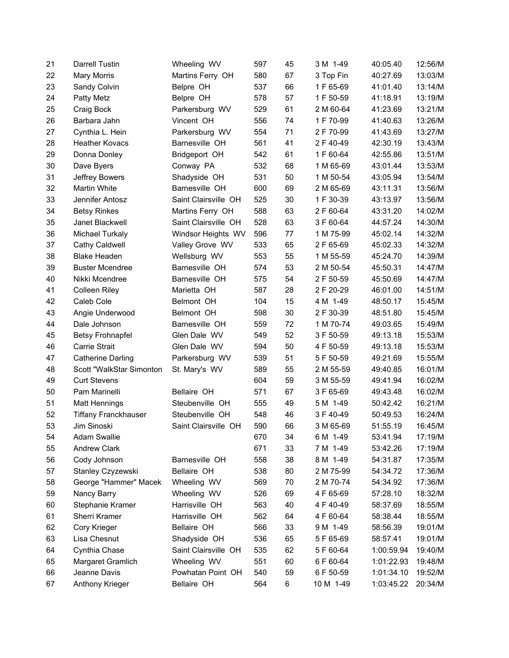| 21 | <b>Darrell Tustin</b>       | Wheeling WV          | 597 | 45 | 3 M 1-49  | 40:05.40   | 12:56/M |
|----|-----------------------------|----------------------|-----|----|-----------|------------|---------|
| 22 | <b>Mary Morris</b>          | Martins Ferry OH     | 580 | 67 | 3 Top Fin | 40:27.69   | 13:03/M |
| 23 | Sandy Colvin                | Belpre OH            | 537 | 66 | 1 F 65-69 | 41:01.40   | 13:14/M |
| 24 | <b>Patty Metz</b>           | Belpre OH            | 578 | 57 | 1 F 50-59 | 41:18.91   | 13:19/M |
| 25 | Craig Bock                  | Parkersburg WV       | 529 | 61 | 2 M 60-64 | 41:23.69   | 13:21/M |
| 26 | Barbara Jahn                | Vincent OH           | 556 | 74 | 1 F 70-99 | 41:40.63   | 13:26/M |
| 27 | Cynthia L. Hein             | Parkersburg WV       | 554 | 71 | 2 F 70-99 | 41:43.69   | 13:27/M |
| 28 | <b>Heather Kovacs</b>       | Barnesville OH       | 561 | 41 | 2 F 40-49 | 42:30.19   | 13:43/M |
| 29 | Donna Donley                | Bridgeport OH        | 542 | 61 | 1 F 60-64 | 42:55.86   | 13:51/M |
| 30 | Dave Byers                  | Conway PA            | 532 | 68 | 1 M 65-69 | 43:01.44   | 13:53/M |
| 31 | Jeffrey Bowers              | Shadyside OH         | 531 | 50 | 1 M 50-54 | 43:05.94   | 13:54/M |
| 32 | Martin White                | Barnesville OH       | 600 | 69 | 2 M 65-69 | 43:11.31   | 13:56/M |
| 33 | Jennifer Antosz             | Saint Clairsville OH | 525 | 30 | 1 F 30-39 | 43:13.97   | 13:56/M |
| 34 | <b>Betsy Rinkes</b>         | Martins Ferry OH     | 588 | 63 | 2 F 60-64 | 43:31.20   | 14:02/M |
| 35 | Janet Blackwell             | Saint Clairsville OH | 528 | 63 | 3 F 60-64 | 44:57.24   | 14:30/M |
| 36 | <b>Michael Turkaly</b>      | Windsor Heights WV   | 596 | 77 | 1 M 75-99 | 45:02.14   | 14:32/M |
| 37 | Cathy Caldwell              | Valley Grove WV      | 533 | 65 | 2 F 65-69 | 45:02.33   | 14:32/M |
| 38 | <b>Blake Headen</b>         | Wellsburg WV         | 553 | 55 | 1 M 55-59 | 45:24.70   | 14:39/M |
| 39 | <b>Buster Mcendree</b>      | Barnesville OH       | 574 | 53 | 2 M 50-54 | 45:50.31   | 14:47/M |
| 40 | Nikki Mcendree              | Barnesville OH       | 575 | 54 | 2 F 50-59 | 45:50.69   | 14:47/M |
| 41 | <b>Colleen Riley</b>        | Marietta OH          | 587 | 28 | 2 F 20-29 | 46:01.00   | 14:51/M |
| 42 | Caleb Cole                  | Belmont OH           | 104 | 15 | 4 M 1-49  | 48:50.17   | 15:45/M |
| 43 | Angie Underwood             | Belmont OH           | 598 | 30 | 2 F 30-39 | 48:51.80   | 15:45/M |
| 44 | Dale Johnson                | Barnesville OH       | 559 | 72 | 1 M 70-74 | 49:03.65   | 15:49/M |
| 45 | <b>Betsy Frohnapfel</b>     | Glen Dale WV         | 549 | 52 | 3 F 50-59 | 49:13.18   | 15:53/M |
| 46 | <b>Carrie Strait</b>        | Glen Dale WV         | 594 | 50 | 4 F 50-59 | 49:13.18   | 15:53/M |
| 47 | <b>Catherine Darling</b>    | Parkersburg WV       | 539 | 51 | 5 F 50-59 | 49:21.69   | 15:55/M |
| 48 | Scott "WalkStar Simonton    | St. Mary's WV        | 589 | 55 | 2 M 55-59 | 49:40.85   | 16:01/M |
| 49 | <b>Curt Stevens</b>         |                      | 604 | 59 | 3 M 55-59 | 49:41.94   | 16:02/M |
| 50 | Pam Marinelli               | Bellaire OH          | 571 | 67 | 3 F 65-69 | 49:43.48   | 16:02/M |
| 51 | <b>Matt Hennings</b>        | Steubenville OH      | 555 | 49 | 5 M 1-49  | 50:42.42   | 16:21/M |
| 52 | <b>Tiffany Franckhauser</b> | Steubenville OH      | 548 | 46 | 3 F 40-49 | 50:49.53   | 16:24/M |
| 53 | Jim Sinoski                 | Saint Clairsville OH | 590 | 66 | 3 M 65-69 | 51:55.19   | 16:45/M |
| 54 | <b>Adam Swallie</b>         |                      | 670 | 34 | 6 M 1-49  | 53:41.94   | 17:19/M |
| 55 | <b>Andrew Clark</b>         |                      | 671 | 33 | 7 M 1-49  | 53:42.26   | 17:19/M |
| 56 | Cody Johnson                | Barnesville OH       | 558 | 38 | 8 M 1-49  | 54:31.87   | 17:35/M |
| 57 | Stanley Czyzewski           | Bellaire OH          | 538 | 80 | 2 M 75-99 | 54:34.72   | 17:36/M |
| 58 | George "Hammer" Macek       | Wheeling WV          | 569 | 70 | 2 M 70-74 | 54:34.92   | 17:36/M |
| 59 | Nancy Barry                 | Wheeling WV          | 526 | 69 | 4 F 65-69 | 57:28.10   | 18:32/M |
| 60 | Stephanie Kramer            | Harrisville OH       | 563 | 40 | 4 F 40-49 | 58:37.69   | 18:55/M |
| 61 | Sherri Kramer               | Harrisville OH       | 562 | 64 | 4 F 60-64 | 58:38.44   | 18:55/M |
| 62 | Cory Krieger                | Bellaire OH          | 566 | 33 | 9 M 1-49  | 58:56.39   | 19:01/M |
| 63 | Lisa Chesnut                | Shadyside OH         | 536 | 65 | 5 F 65-69 | 58:57.41   | 19:01/M |
| 64 | Cynthia Chase               | Saint Clairsville OH | 535 | 62 | 5 F 60-64 | 1:00:59.94 | 19:40/M |
| 65 | Margaret Gramlich           | Wheeling WV          | 551 | 60 | 6 F 60-64 | 1:01:22.93 | 19:48/M |
| 66 | Jeanne Davis                | Powhatan Point OH    | 540 | 59 | 6 F 50-59 | 1:01:34.10 | 19:52/M |
| 67 | Anthony Krieger             | Bellaire OH          | 564 | 6  | 10 M 1-49 | 1:03:45.22 | 20:34/M |